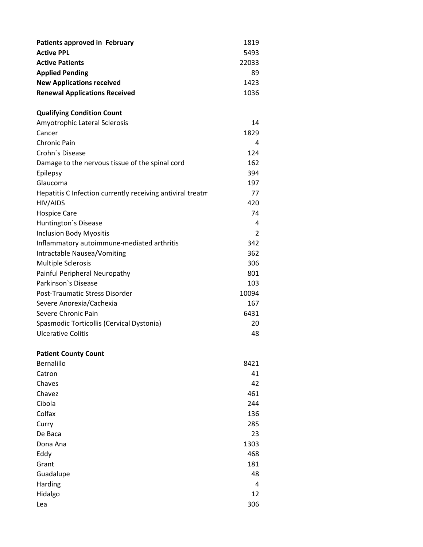| Patients approved in February        | 1819  |
|--------------------------------------|-------|
| <b>Active PPL</b>                    | 5493  |
| <b>Active Patients</b>               | 22033 |
| <b>Applied Pending</b>               | 89    |
| <b>New Applications received</b>     | 1423  |
| <b>Renewal Applications Received</b> | 1036  |

## **Qualifying Condition Count**

| Amyotrophic Lateral Sclerosis                              | 14    |
|------------------------------------------------------------|-------|
| Cancer                                                     | 1829  |
| Chronic Pain                                               | 4     |
| Crohn's Disease                                            | 124   |
| Damage to the nervous tissue of the spinal cord            | 162   |
| Epilepsy                                                   | 394   |
| Glaucoma                                                   | 197   |
| Hepatitis C Infection currently receiving antiviral treatm | 77    |
| HIV/AIDS                                                   | 420   |
| <b>Hospice Care</b>                                        | 74    |
| Huntington's Disease                                       | 4     |
| <b>Inclusion Body Myositis</b>                             | 2     |
| Inflammatory autoimmune-mediated arthritis                 | 342   |
| Intractable Nausea/Vomiting                                | 362   |
| <b>Multiple Sclerosis</b>                                  | 306   |
| Painful Peripheral Neuropathy                              | 801   |
| Parkinson's Disease                                        | 103   |
| Post-Traumatic Stress Disorder                             | 10094 |
| Severe Anorexia/Cachexia                                   | 167   |
| Severe Chronic Pain                                        | 6431  |
| Spasmodic Torticollis (Cervical Dystonia)                  | 20    |
| <b>Ulcerative Colitis</b>                                  | 48    |
|                                                            |       |
| <b>Patient County Count</b>                                |       |

| Bernalillo | 8421 |
|------------|------|
| Catron     | 41   |
| Chaves     | 42   |
| Chavez     | 461  |
| Cibola     | 244  |
| Colfax     | 136  |
| Curry      | 285  |
| De Baca    | 23   |
| Dona Ana   | 1303 |
| Eddy       | 468  |
| Grant      | 181  |
| Guadalupe  | 48   |
| Harding    | 4    |
| Hidalgo    | 12   |
| Lea        | 306  |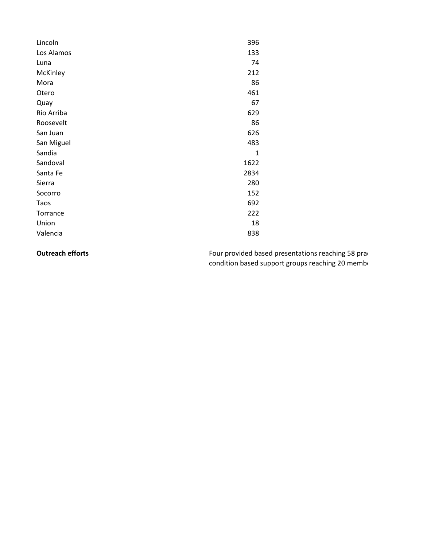| Lincoln    | 396          |
|------------|--------------|
| Los Alamos | 133          |
| Luna       | 74           |
| McKinley   | 212          |
| Mora       | 86           |
| Otero      | 461          |
| Quay       | 67           |
| Rio Arriba | 629          |
| Roosevelt  | 86           |
| San Juan   | 626          |
| San Miguel | 483          |
| Sandia     | $\mathbf{1}$ |
| Sandoval   | 1622         |
| Santa Fe   | 2834         |
| Sierra     | 280          |
| Socorro    | 152          |
| Taos       | 692          |
| Torrance   | 222          |
| Union      | 18           |
| Valencia   | 838          |

**Outreach efforts** Four provided based presentations reaching 58 practitions reaching 58 practitions condition based support groups reaching 20 member